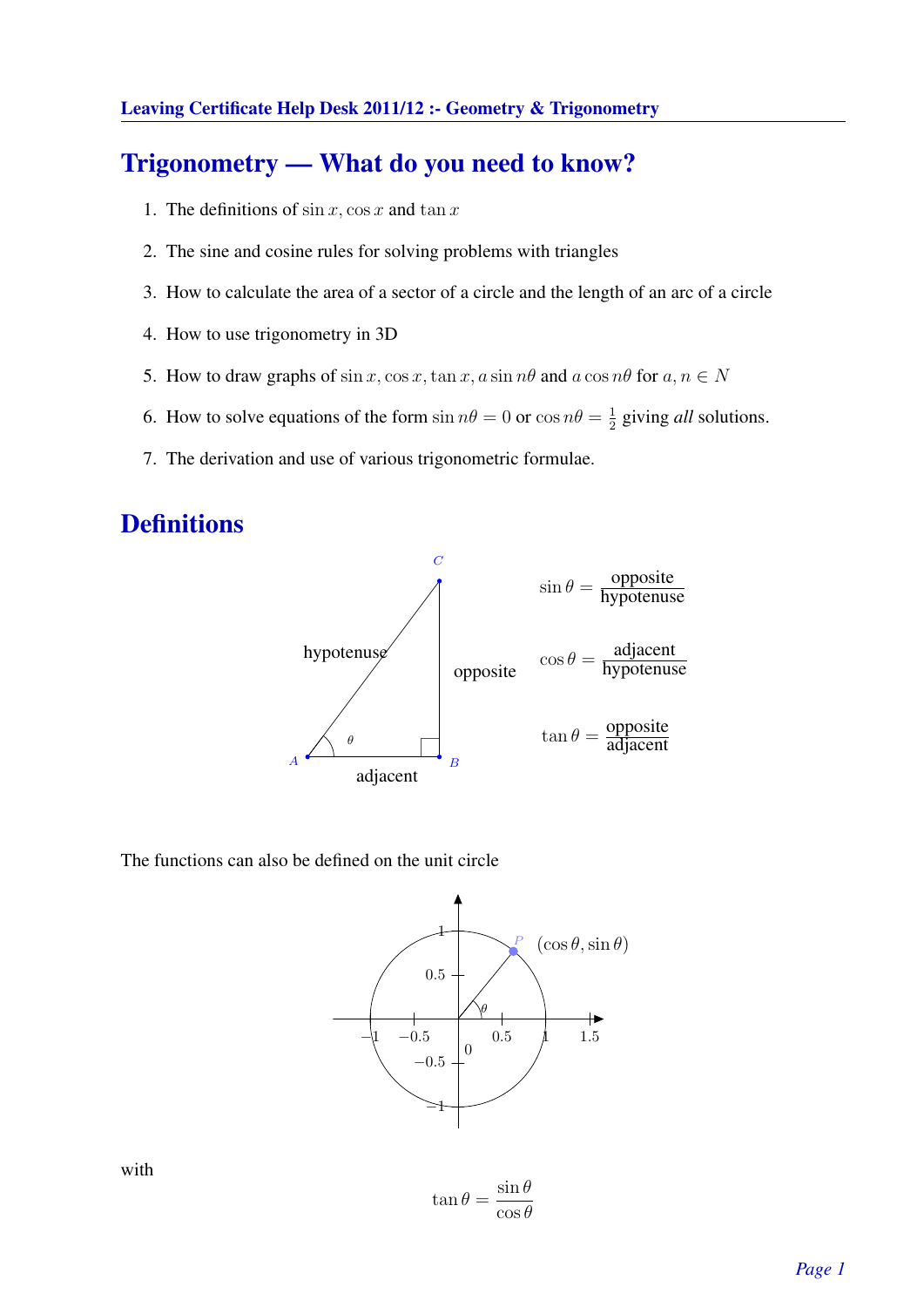# Trigonometry — What do you need to know?

- 1. The definitions of  $\sin x$ ,  $\cos x$  and  $\tan x$
- 2. The sine and cosine rules for solving problems with triangles
- 3. How to calculate the area of a sector of a circle and the length of an arc of a circle
- 4. How to use trigonometry in 3D
- 5. How to draw graphs of  $\sin x$ ,  $\cos x$ ,  $\tan x$ ,  $a \sin n\theta$  and  $a \cos n\theta$  for  $a, n \in N$
- 6. How to solve equations of the form  $\sin n\theta = 0$  or  $\cos n\theta = \frac{1}{2}$  $\frac{1}{2}$  giving *all* solutions.
- 7. The derivation and use of various trigonometric formulae.

# **Definitions**



The functions can also be defined on the unit circle



 $\tan \theta =$  $\sin \theta$  $\cos\theta$ 

with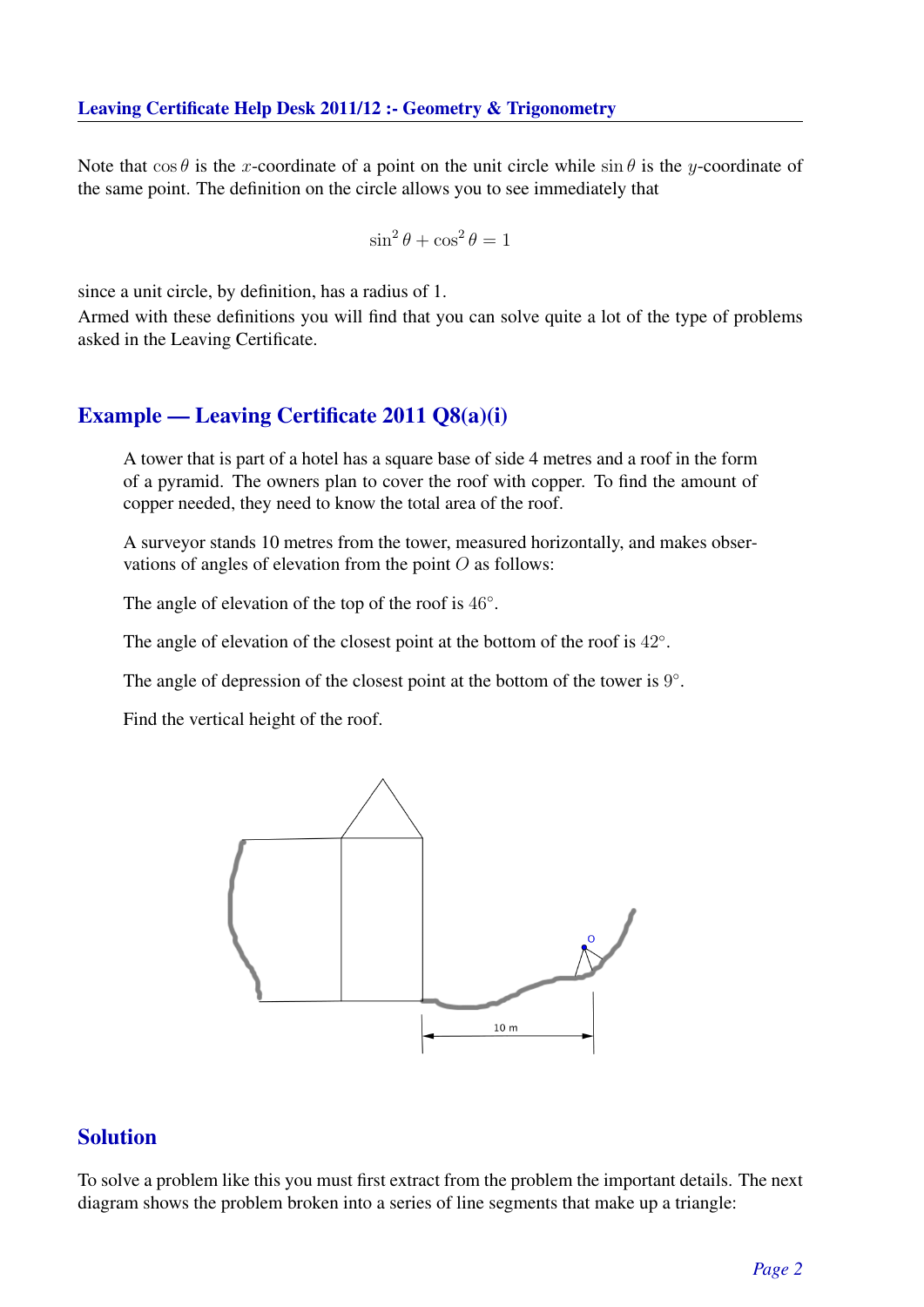Note that  $\cos \theta$  is the x-coordinate of a point on the unit circle while  $\sin \theta$  is the y-coordinate of the same point. The definition on the circle allows you to see immediately that

$$
\sin^2\theta + \cos^2\theta = 1
$$

since a unit circle, by definition, has a radius of 1.

Armed with these definitions you will find that you can solve quite a lot of the type of problems asked in the Leaving Certificate.

### Example — Leaving Certificate 2011 Q8(a)(i)

A tower that is part of a hotel has a square base of side 4 metres and a roof in the form of a pyramid. The owners plan to cover the roof with copper. To find the amount of copper needed, they need to know the total area of the roof.

A surveyor stands 10 metres from the tower, measured horizontally, and makes observations of angles of elevation from the point  $O$  as follows:

The angle of elevation of the top of the roof is  $46°$ .

The angle of elevation of the closest point at the bottom of the roof is  $42^\circ$ .

The angle of depression of the closest point at the bottom of the tower is  $9^\circ$ .

Find the vertical height of the roof.



### Solution

To solve a problem like this you must first extract from the problem the important details. The next diagram shows the problem broken into a series of line segments that make up a triangle: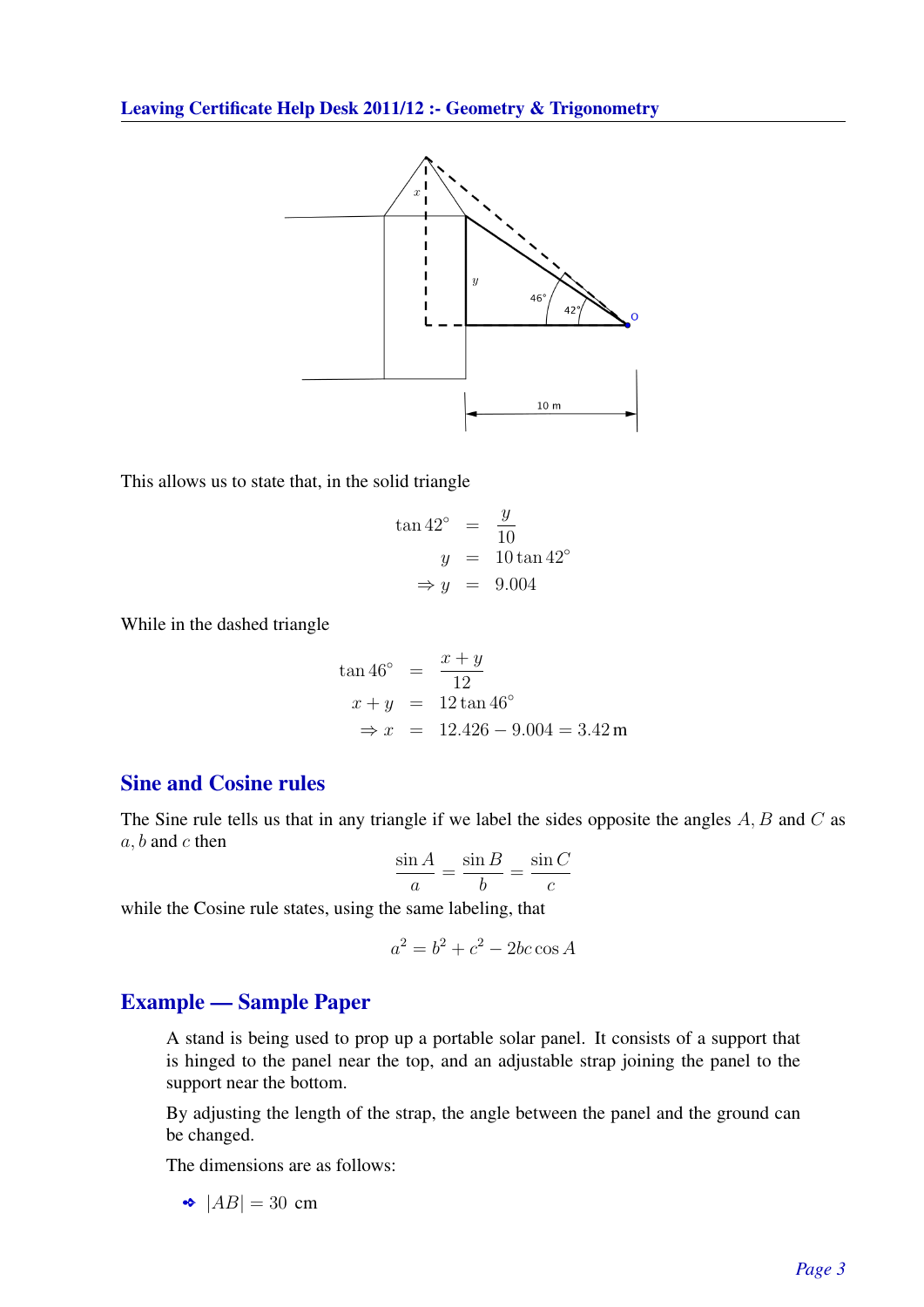

This allows us to state that, in the solid triangle

$$
\tan 42^{\circ} = \frac{y}{10}
$$
  

$$
y = 10 \tan 42^{\circ}
$$
  

$$
\Rightarrow y = 9.004
$$

While in the dashed triangle

$$
\tan 46^{\circ} = \frac{x+y}{12}
$$
  
\n
$$
x + y = 12 \tan 46^{\circ}
$$
  
\n
$$
\Rightarrow x = 12.426 - 9.004 = 3.42 \text{ m}
$$

# Sine and Cosine rules

The Sine rule tells us that in any triangle if we label the sides opposite the angles  $A, B$  and  $C$  as  $a, b$  and  $c$  then

$$
\frac{\sin A}{a} = \frac{\sin B}{b} = \frac{\sin C}{c}
$$

while the Cosine rule states, using the same labeling, that

$$
a^2 = b^2 + c^2 - 2bc \cos A
$$

#### Example — Sample Paper

A stand is being used to prop up a portable solar panel. It consists of a support that is hinged to the panel near the top, and an adjustable strap joining the panel to the support near the bottom.

By adjusting the length of the strap, the angle between the panel and the ground can be changed.

The dimensions are as follows:

$$
\blacklozenge |AB| = 30 \text{ cm}
$$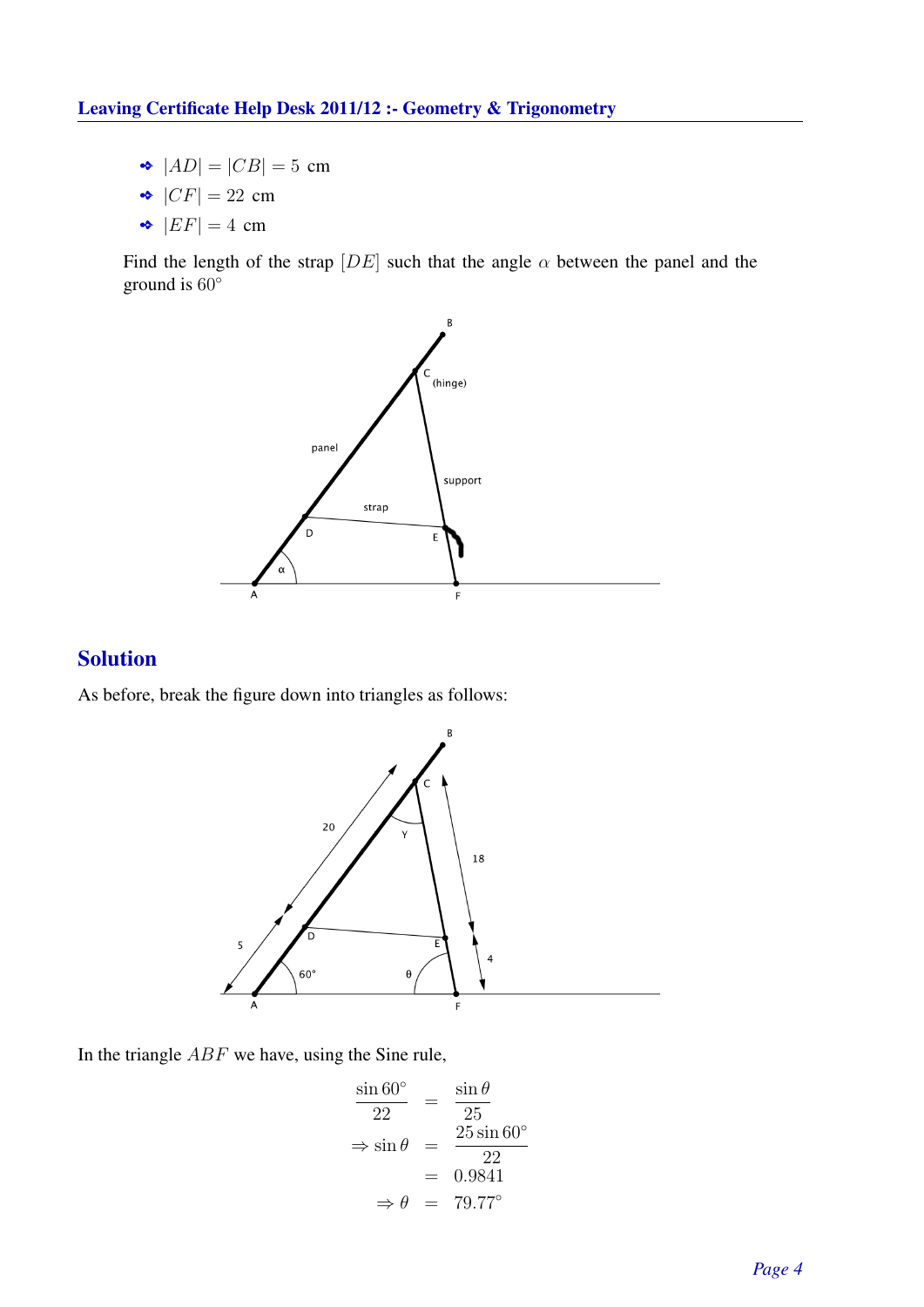- $\bullet$   $|AD| = |CB| = 5$  cm
- $\bullet$   $|CF| = 22$  cm
- $\bullet$   $|EF| = 4$  cm

Find the length of the strap  $[DE]$  such that the angle  $\alpha$  between the panel and the ground is 60◦



# Solution

As before, break the figure down into triangles as follows:



In the triangle ABF we have, using the Sine rule,

$$
\frac{\sin 60^{\circ}}{22} = \frac{\sin \theta}{25}
$$
  
\n
$$
\Rightarrow \sin \theta = \frac{25 \sin 60^{\circ}}{22}
$$
  
\n= 0.9841  
\n
$$
\Rightarrow \theta = 79.77^{\circ}
$$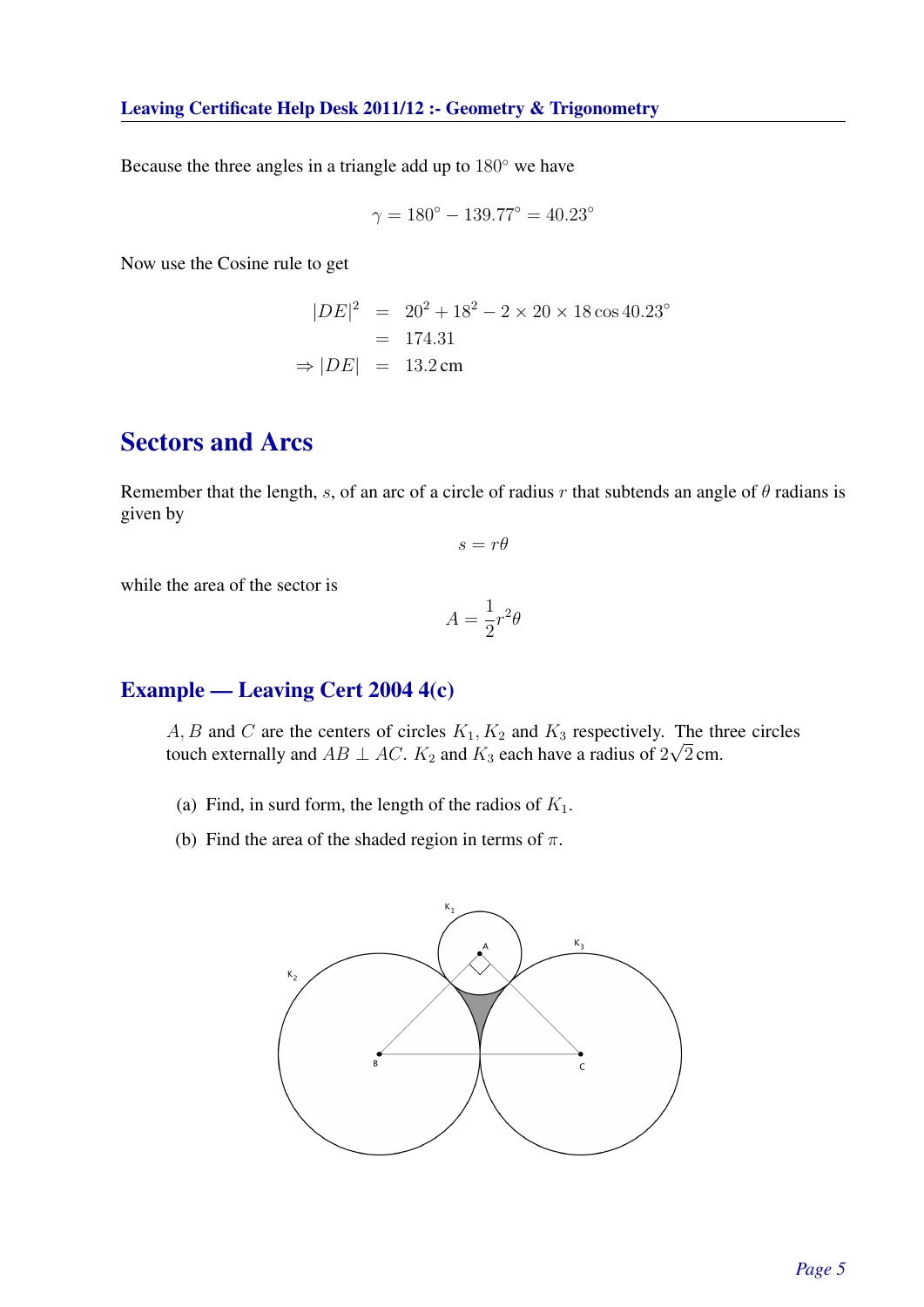Because the three angles in a triangle add up to 180◦ we have

$$
\gamma = 180^{\circ} - 139.77^{\circ} = 40.23^{\circ}
$$

Now use the Cosine rule to get

$$
|DE|^2 = 20^2 + 18^2 - 2 \times 20 \times 18 \cos 40.23^{\circ}
$$
  
= 174.31  

$$
\Rightarrow |DE| = 13.2 \text{ cm}
$$

# Sectors and Arcs

Remember that the length, s, of an arc of a circle of radius r that subtends an angle of  $\theta$  radians is given by

$$
s=r\theta
$$

while the area of the sector is

$$
A = \frac{1}{2}r^2\theta
$$

# Example — Leaving Cert 2004 4(c)

A, B and C are the centers of circles  $K_1, K_2$  and  $K_3$  respectively. The three circles touch externally and  $AB \perp AC$ .  $K_2$  and  $K_3$  each have a radius of  $2\sqrt{2}$  cm.

- (a) Find, in surd form, the length of the radios of  $K_1$ .
- (b) Find the area of the shaded region in terms of  $\pi$ .

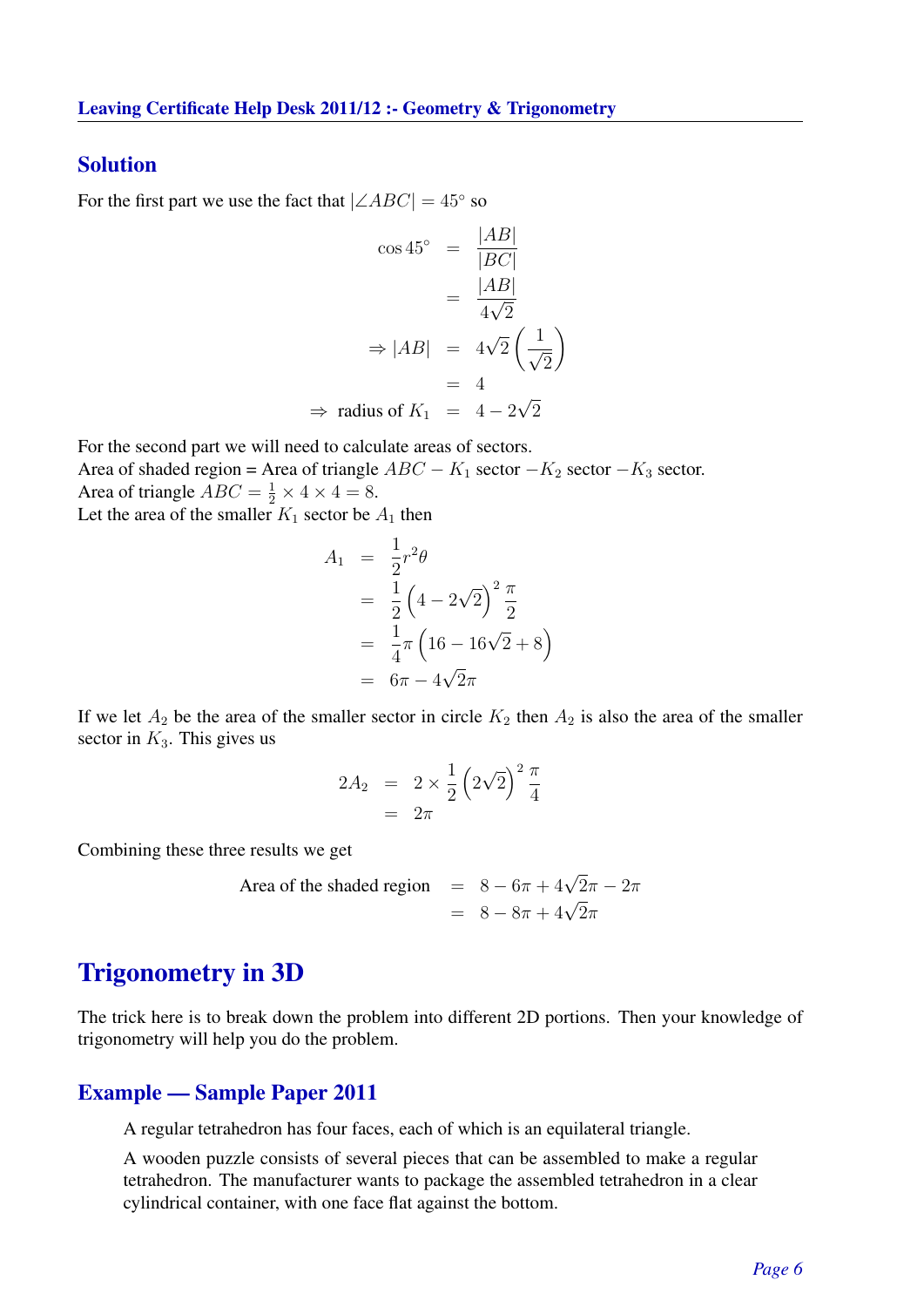#### Solution

For the first part we use the fact that  $|\angle ABC| = 45^\circ$  so

$$
\cos 45^\circ = \frac{|AB|}{|BC|}
$$

$$
= \frac{|AB|}{4\sqrt{2}}
$$

$$
\Rightarrow |AB| = 4\sqrt{2} \left(\frac{1}{\sqrt{2}}\right)
$$

$$
= 4
$$

$$
\Rightarrow \text{ radius of } K_1 = 4 - 2\sqrt{2}
$$

For the second part we will need to calculate areas of sectors.

Area of shaded region = Area of triangle  $ABC - K_1$  sector  $-K_2$  sector  $-K_3$  sector. Area of triangle  $ABC = \frac{1}{2} \times 4 \times 4 = 8$ .

Let the area of the smaller  $K_1$  sector be  $A_1$  then

$$
A_1 = \frac{1}{2}r^2\theta
$$
  
=  $\frac{1}{2}(4-2\sqrt{2})^2\frac{\pi}{2}$   
=  $\frac{1}{4}\pi(16-16\sqrt{2}+8)$   
=  $6\pi - 4\sqrt{2}\pi$ 

If we let  $A_2$  be the area of the smaller sector in circle  $K_2$  then  $A_2$  is also the area of the smaller sector in  $K_3$ . This gives us

$$
2A_2 = 2 \times \frac{1}{2} \left(2\sqrt{2}\right)^2 \frac{\pi}{4}
$$

$$
= 2\pi
$$

Combining these three results we get

Area of the shaded region 
$$
= 8 - 6\pi + 4\sqrt{2}\pi - 2\pi
$$

$$
= 8 - 8\pi + 4\sqrt{2}\pi
$$

# Trigonometry in 3D

The trick here is to break down the problem into different 2D portions. Then your knowledge of trigonometry will help you do the problem.

#### Example — Sample Paper 2011

A regular tetrahedron has four faces, each of which is an equilateral triangle.

A wooden puzzle consists of several pieces that can be assembled to make a regular tetrahedron. The manufacturer wants to package the assembled tetrahedron in a clear cylindrical container, with one face flat against the bottom.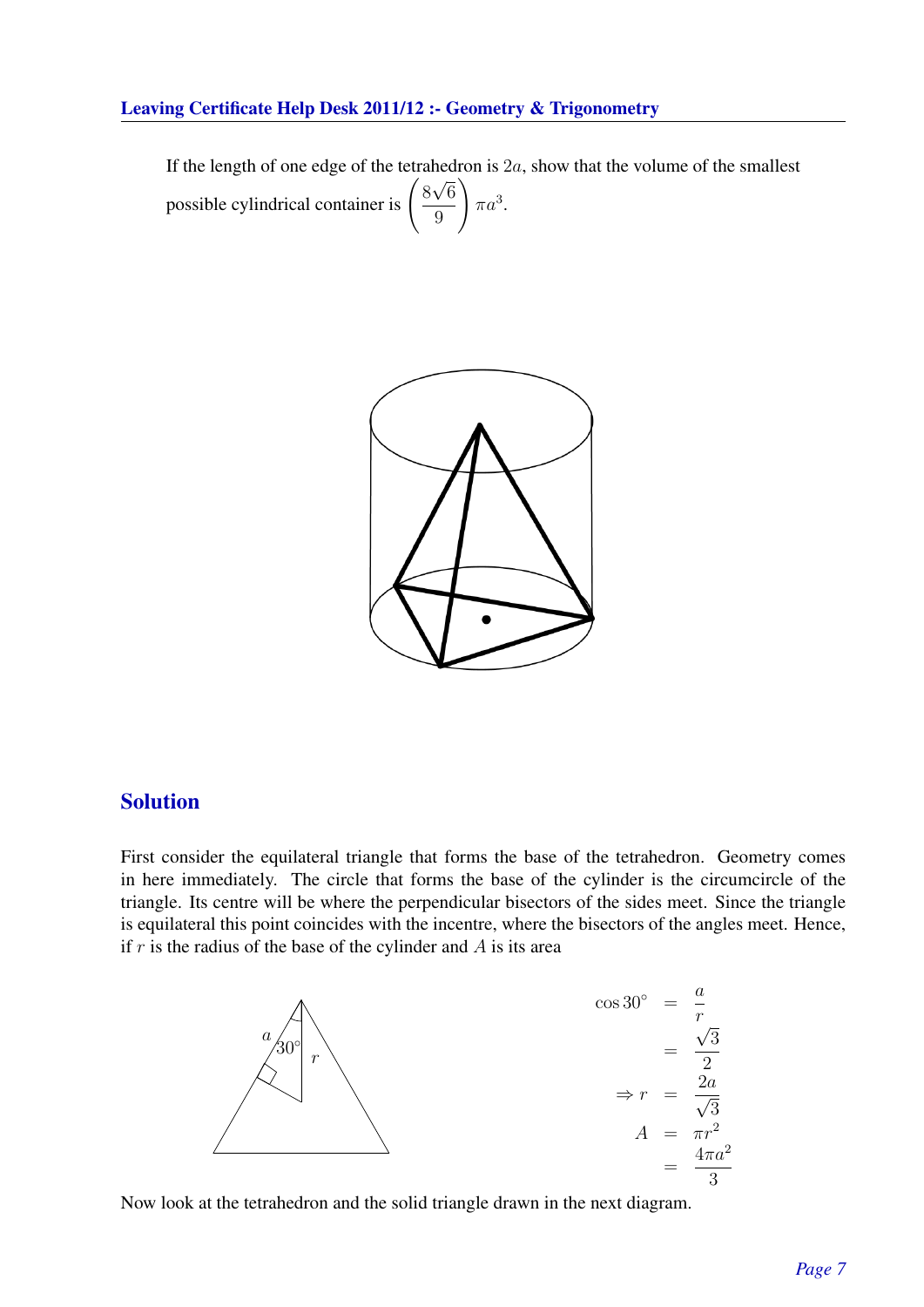If the length of one edge of the tetrahedron is  $2a$ , show that the volume of the smallest possible cylindrical container is  $\begin{pmatrix} 8 \\ -8 \end{pmatrix}$ µ∟ 6 9  $\setminus$  $\pi a^3$ .



# Solution

First consider the equilateral triangle that forms the base of the tetrahedron. Geometry comes in here immediately. The circle that forms the base of the cylinder is the circumcircle of the triangle. Its centre will be where the perpendicular bisectors of the sides meet. Since the triangle is equilateral this point coincides with the incentre, where the bisectors of the angles meet. Hence, if  $r$  is the radius of the base of the cylinder and  $A$  is its area



Now look at the tetrahedron and the solid triangle drawn in the next diagram.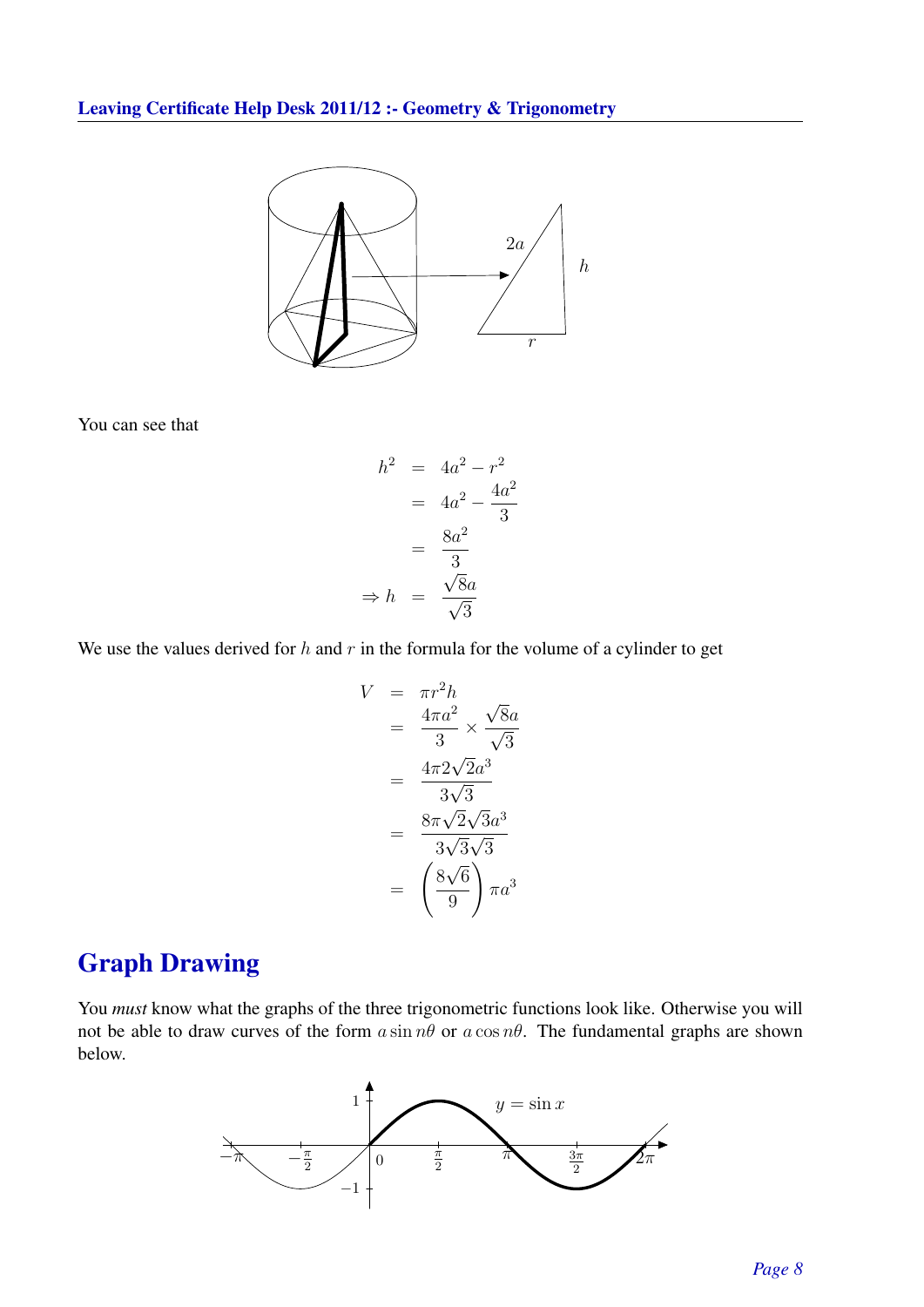

You can see that

$$
h2 = 4a2 - r2
$$

$$
= 4a2 - \frac{4a2}{3}
$$

$$
= \frac{8a2}{3}
$$

$$
\Rightarrow h = \frac{\sqrt{8}a}{\sqrt{3}}
$$

We use the values derived for  $h$  and  $r$  in the formula for the volume of a cylinder to get

$$
V = \pi r^2 h
$$
  
=  $\frac{4\pi a^2}{3} \times \frac{\sqrt{8}a}{\sqrt{3}}$   
=  $\frac{4\pi 2\sqrt{2}a^3}{3\sqrt{3}}$   
=  $\frac{8\pi\sqrt{2}\sqrt{3}a^3}{3\sqrt{3}\sqrt{3}}$   
=  $\left(\frac{8\sqrt{6}}{9}\right)\pi a^3$ 

# Graph Drawing

You *must* know what the graphs of the three trigonometric functions look like. Otherwise you will not be able to draw curves of the form  $a \sin n\theta$  or  $a \cos n\theta$ . The fundamental graphs are shown below.

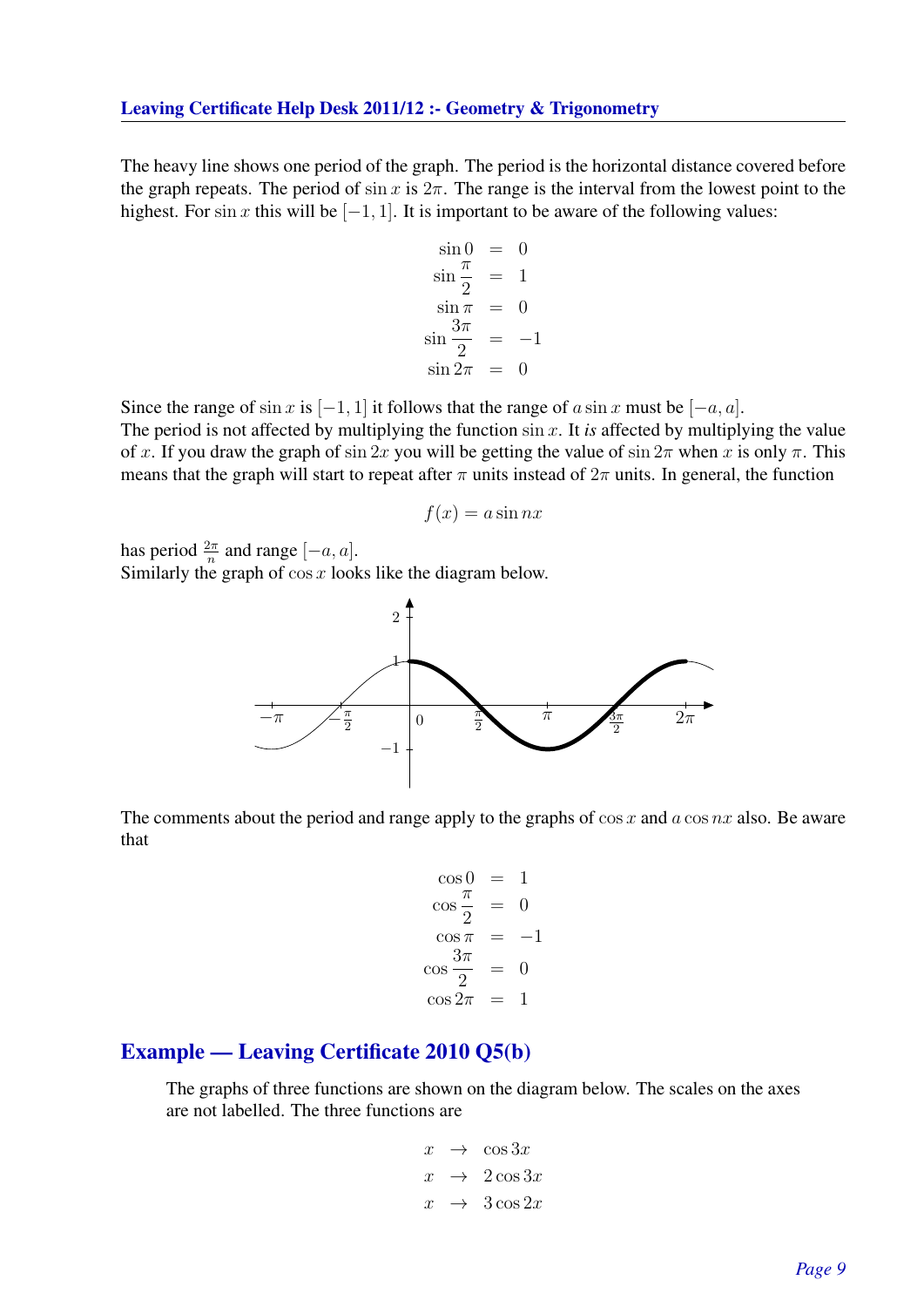The heavy line shows one period of the graph. The period is the horizontal distance covered before the graph repeats. The period of sin x is  $2\pi$ . The range is the interval from the lowest point to the highest. For sin x this will be  $[-1, 1]$ . It is important to be aware of the following values:

$$
\sin 0 = 0
$$
  
\n
$$
\sin \frac{\pi}{2} = 1
$$
  
\n
$$
\sin \pi = 0
$$
  
\n
$$
\sin \frac{3\pi}{2} = -1
$$
  
\n
$$
\sin 2\pi = 0
$$

Since the range of sin x is  $[-1, 1]$  it follows that the range of a sin x must be  $[-a, a]$ .

The period is not affected by multiplying the function  $\sin x$ . It *is* affected by multiplying the value of x. If you draw the graph of sin 2x you will be getting the value of sin  $2\pi$  when x is only  $\pi$ . This means that the graph will start to repeat after  $\pi$  units instead of  $2\pi$  units. In general, the function

$$
f(x) = a \sin nx
$$

has period  $\frac{2\pi}{n}$  and range  $[-a, a]$ .

Similarly the graph of  $\cos x$  looks like the diagram below.



The comments about the period and range apply to the graphs of  $\cos x$  and  $a \cos nx$  also. Be aware that

$$
\cos 0 = 1
$$
  
\n
$$
\cos \frac{\pi}{2} = 0
$$
  
\n
$$
\cos \pi = -1
$$
  
\n
$$
\cos \frac{3\pi}{2} = 0
$$
  
\n
$$
\cos 2\pi = 1
$$

# Example — Leaving Certificate 2010 Q5(b)

The graphs of three functions are shown on the diagram below. The scales on the axes are not labelled. The three functions are

$$
\begin{array}{rcl} x & \to & \cos 3x \\ x & \to & 2\cos 3x \\ x & \to & 3\cos 2x \end{array}
$$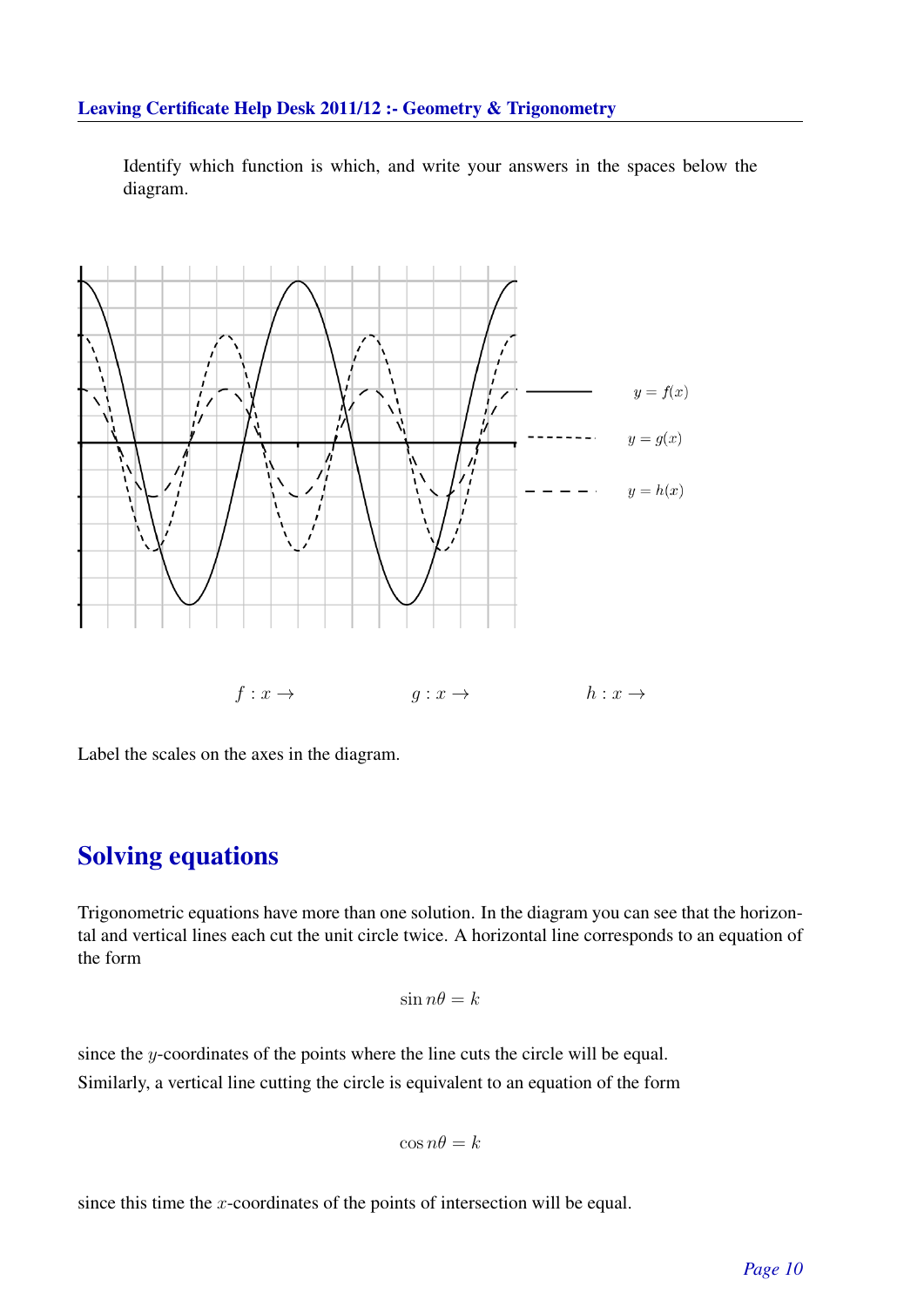Identify which function is which, and write your answers in the spaces below the diagram.



Label the scales on the axes in the diagram.

# Solving equations

Trigonometric equations have more than one solution. In the diagram you can see that the horizontal and vertical lines each cut the unit circle twice. A horizontal line corresponds to an equation of the form

$$
\sin n\theta = k
$$

since the y-coordinates of the points where the line cuts the circle will be equal. Similarly, a vertical line cutting the circle is equivalent to an equation of the form

$$
\cos n\theta = k
$$

since this time the x-coordinates of the points of intersection will be equal.